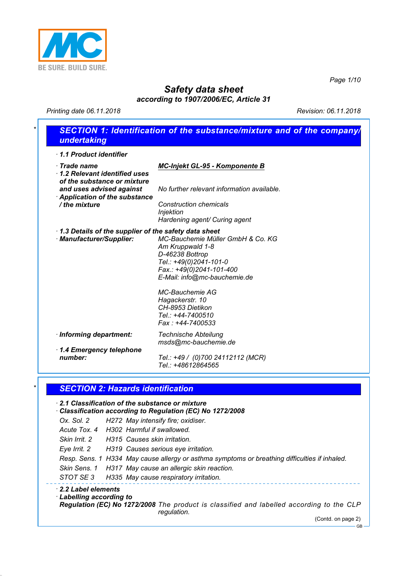

*Page 1/10*

# *Safety data sheet*

*according to 1907/2006/EC, Article 31*

*Printing date 06.11.2018 Revision: 06.11.2018*

| 1.1 Product identifier                                                            |                                                                                    |
|-----------------------------------------------------------------------------------|------------------------------------------------------------------------------------|
| $\cdot$ Trade name<br>1.2 Relevant identified uses<br>of the substance or mixture | MC-Injekt GL-95 - Komponente B                                                     |
| and uses advised against<br>Application of the substance                          | No further relevant information available.                                         |
| / the mixture                                                                     | <b>Construction chemicals</b><br><b>Injektion</b><br>Hardening agent/ Curing agent |
| 1.3 Details of the supplier of the safety data sheet                              |                                                                                    |
| · Manufacturer/Supplier:                                                          | MC-Bauchemie Müller GmbH & Co. KG<br>Am Kruppwald 1-8                              |
|                                                                                   | D-46238 Bottrop                                                                    |
|                                                                                   | Tel.: +49(0)2041-101-0                                                             |
|                                                                                   | Fax.: +49(0)2041-101-400<br>E-Mail: info@mc-bauchemie.de                           |
|                                                                                   | MC-Bauchemie AG                                                                    |
|                                                                                   | Hagackerstr. 10<br>CH-8953 Dietikon                                                |
|                                                                                   | Tel.: +44-7400510                                                                  |
|                                                                                   | Fax: +44-7400533                                                                   |
| · Informing department:                                                           | <b>Technische Abteilung</b><br>msds@mc-bauchemie.de                                |
| 1.4 Emergency telephone<br>number:                                                | Tel.: +49 / (0)700 24112112 (MCR)<br>Tel.: +48612864565                            |
| <b>SECTION 2: Hazards identification</b>                                          |                                                                                    |
| 2.1 Classification of the substance or mixture                                    |                                                                                    |
| Classification according to Regulation (EC) No 1272/2008                          |                                                                                    |
| Ox. Sol. 2                                                                        | H272 May intensify fire; oxidiser.                                                 |
| Acute Tox. 4 H302 Harmful if swallowed.                                           |                                                                                    |
| Skin Irrit. 2<br>H315 Causes skin irritation.                                     |                                                                                    |

*STOT SE 3 H335 May cause respiratory irritation.*

*· 2.2 Label elements*

*· Labelling according to*

*Regulation (EC) No 1272/2008 The product is classified and labelled according to the CLP regulation.*

(Contd. on page 2)

GB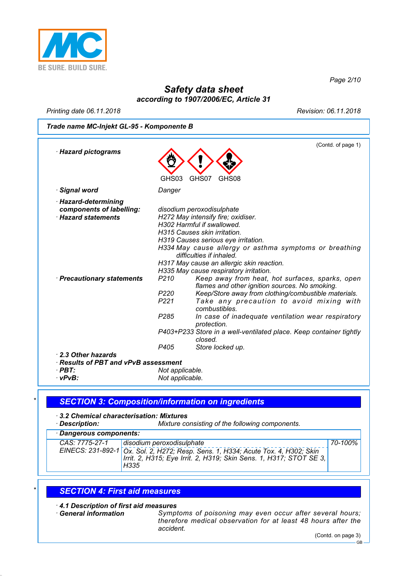

*Page 2/10*

## *Safety data sheet according to 1907/2006/EC, Article 31*

*Printing date 06.11.2018 Revision: 06.11.2018*

(Contd. of page 1)

*Trade name MC-Injekt GL-95 - Komponente B*

| · Hazard pictograms                                                          |                  |                                                                                                                                                                                         |
|------------------------------------------------------------------------------|------------------|-----------------------------------------------------------------------------------------------------------------------------------------------------------------------------------------|
|                                                                              | GHS03            | GHS07<br>GHS08                                                                                                                                                                          |
| <b>Signal word</b>                                                           | Danger           |                                                                                                                                                                                         |
| · Hazard-determining<br>components of labelling:<br><b>Hazard statements</b> |                  | disodium peroxodisulphate<br>H272 May intensify fire; oxidiser.                                                                                                                         |
|                                                                              |                  | H302 Harmful if swallowed.<br>H315 Causes skin irritation.<br>H319 Causes serious eye irritation.<br>H334 May cause allergy or asthma symptoms or breathing<br>difficulties if inhaled. |
|                                                                              |                  | H317 May cause an allergic skin reaction.<br>H335 May cause respiratory irritation.                                                                                                     |
| · Precautionary statements                                                   | P <sub>210</sub> | Keep away from heat, hot surfaces, sparks, open<br>flames and other ignition sources. No smoking.                                                                                       |
|                                                                              | P220             | Keep/Store away from clothing/combustible materials.                                                                                                                                    |
|                                                                              | P <sub>221</sub> | Take any precaution to avoid mixing with<br>combustibles.                                                                                                                               |
|                                                                              | P <sub>285</sub> | In case of inadequate ventilation wear respiratory<br>protection.                                                                                                                       |
|                                                                              |                  | P403+P233 Store in a well-ventilated place. Keep container tightly<br>closed.                                                                                                           |
|                                                                              | P405             | Store locked up.                                                                                                                                                                        |
| 2.3 Other hazards                                                            |                  |                                                                                                                                                                                         |
| · Results of PBT and vPvB assessment                                         |                  |                                                                                                                                                                                         |
| $\cdot$ PBT:                                                                 | Not applicable.  |                                                                                                                                                                                         |
| ∙ vPvB:                                                                      | Not applicable.  |                                                                                                                                                                                         |

### *\* SECTION 3: Composition/information on ingredients*

*· 3.2 Chemical characterisation: Mixtures*

*Mixture consisting of the following components.* 

| · Dangerous components: |                                                                                                                                                                                              |         |  |  |  |
|-------------------------|----------------------------------------------------------------------------------------------------------------------------------------------------------------------------------------------|---------|--|--|--|
| CAS: 7775-27-1          | disodium peroxodisulphate<br>EINECS: 231-892-1 Ox. Sol. 2, H272; Resp. Sens. 1, H334; Acute Tox. 4, H302; Skin<br>Irrit. 2, H315; Eye Irrit. 2, H319; Skin Sens. 1, H317; STOT SE 3,<br>H335 | 70-100% |  |  |  |

#### *\* SECTION 4: First aid measures*

*· 4.1 Description of first aid measures*

*Symptoms of poisoning may even occur after several hours; therefore medical observation for at least 48 hours after the accident.*

(Contd. on page 3)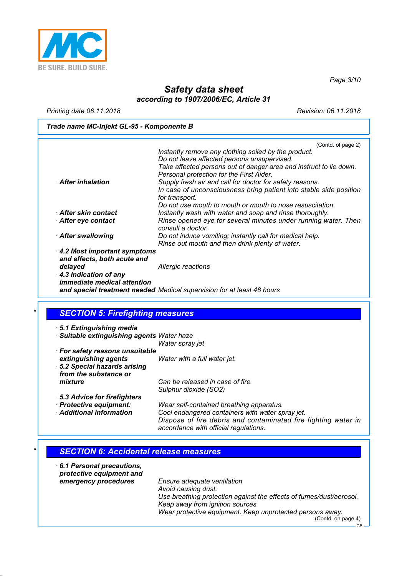

*Page 3/10*

### *Safety data sheet according to 1907/2006/EC, Article 31*

*Printing date 06.11.2018 Revision: 06.11.2018*

#### *Trade name MC-Injekt GL-95 - Komponente B*

|                             | (Contd. of page 2)                                                 |
|-----------------------------|--------------------------------------------------------------------|
|                             | Instantly remove any clothing soiled by the product.               |
|                             | Do not leave affected persons unsupervised.                        |
|                             | Take affected persons out of danger area and instruct to lie down. |
|                             | Personal protection for the First Aider.                           |
| After inhalation            | Supply fresh air and call for doctor for safety reasons.           |
|                             | In case of unconsciousness bring patient into stable side position |
|                             | for transport.                                                     |
|                             | Do not use mouth to mouth or mouth to nose resuscitation.          |
| After skin contact          | Instantly wash with water and soap and rinse thoroughly.           |
| After eye contact           | Rinse opened eye for several minutes under running water. Then     |
|                             | consult a doctor.                                                  |
|                             | Do not induce vomiting; instantly call for medical help.           |
| After swallowing            |                                                                    |
|                             | Rinse out mouth and then drink plenty of water.                    |
| 4.2 Most important symptoms |                                                                    |
| and effects, both acute and |                                                                    |
| delayed                     | Allergic reactions                                                 |
| .                           |                                                                    |

*· 4.3 Indication of any immediate medical attention and special treatment needed Medical supervision for at least 48 hours*

### *\* SECTION 5: Firefighting measures · 5.1 Extinguishing media · Suitable extinguishing agents Water haze Water spray jet · For safety reasons unsuitable extinguishing agents Water with a full water jet. · 5.2 Special hazards arising from the substance or mixture Can be released in case of fire Sulphur dioxide (SO2) · 5.3 Advice for firefighters*

*· Protective equipment: Wear self-contained breathing apparatus.* Cool endangered containers with water spray jet. *Dispose of fire debris and contaminated fire fighting water in accordance with official regulations.*

#### *\* SECTION 6: Accidental release measures*

| 6.1 Personal precautions,<br>protective equipment and<br>emergency procedures | Ensure adequate ventilation<br>Avoid causing dust.<br>Use breathing protection against the effects of fumes/dust/aerosol.<br>Keep away from ignition sources<br>Wear protective equipment. Keep unprotected persons away.<br>(Contd. on page 4) |
|-------------------------------------------------------------------------------|-------------------------------------------------------------------------------------------------------------------------------------------------------------------------------------------------------------------------------------------------|
|                                                                               | <b>GB</b>                                                                                                                                                                                                                                       |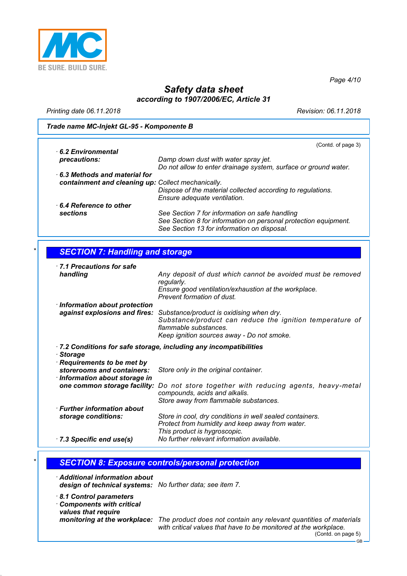

*Page 4/10*

## *Safety data sheet according to 1907/2006/EC, Article 31*

*Printing date 06.11.2018 Revision: 06.11.2018*

#### *Trade name MC-Injekt GL-95 - Komponente B*

|                                                    | (Contd. of page 3)                                              |
|----------------------------------------------------|-----------------------------------------------------------------|
| 6.2 Environmental                                  |                                                                 |
| precautions:                                       | Damp down dust with water spray jet.                            |
|                                                    | Do not allow to enter drainage system, surface or ground water. |
| 6.3 Methods and material for                       |                                                                 |
| containment and cleaning up: Collect mechanically. |                                                                 |
|                                                    | Dispose of the material collected according to regulations.     |
|                                                    | Ensure adequate ventilation.                                    |
| 6.4 Reference to other                             |                                                                 |
| sections                                           | See Section 7 for information on safe handling                  |
|                                                    | See Section 8 for information on personal protection equipment. |
|                                                    | See Section 13 for information on disposal.                     |

### *\* SECTION 7: Handling and storage*

| 1.1 Precautions for safe<br>handling                            | Any deposit of dust which cannot be avoided must be removed                                                                                                                 |
|-----------------------------------------------------------------|-----------------------------------------------------------------------------------------------------------------------------------------------------------------------------|
|                                                                 | regularly.<br>Ensure good ventilation/exhaustion at the workplace.<br>Prevent formation of dust.                                                                            |
| · Information about protection<br>against explosions and fires: | Substance/product is oxidising when dry.<br>Substance/product can reduce the ignition temperature of<br>flammable substances.<br>Keep ignition sources away - Do not smoke. |
|                                                                 | $\cdot$ 7.2 Conditions for safe storage, including any incompatibilities                                                                                                    |
| · Storage<br>Requirements to be met by                          |                                                                                                                                                                             |
| storerooms and containers:<br>· Information about storage in    | Store only in the original container.                                                                                                                                       |
| one common storage facility:                                    | Do not store together with reducing agents, heavy-metal<br>compounds, acids and alkalis.<br>Store away from flammable substances.                                           |
| $\cdot$ Further information about                               |                                                                                                                                                                             |
| storage conditions:                                             | Store in cool, dry conditions in well sealed containers.<br>Protect from humidity and keep away from water.<br>This product is hygroscopic.                                 |
| $\cdot$ 7.3 Specific end use(s)                                 | No further relevant information available.                                                                                                                                  |

#### *\* SECTION 8: Exposure controls/personal protection*

*· Additional information about design of technical systems: No further data; see item 7.*

*· 8.1 Control parameters*

*· Components with critical values that require*

*monitoring at the workplace: The product does not contain any relevant quantities of materials with critical values that have to be monitored at the workplace.* (Contd. on page 5)

GB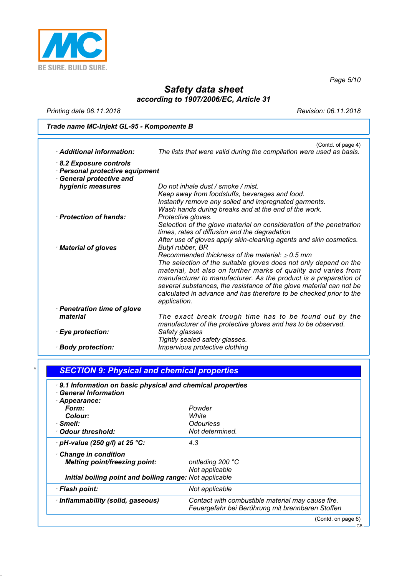

*Page 5/10*

## *Safety data sheet according to 1907/2006/EC, Article 31*

*Printing date 06.11.2018 Revision: 06.11.2018*

*Trade name MC-Injekt GL-95 - Komponente B*

| · Additional information:                                        | (Contd. of page 4)<br>The lists that were valid during the compilation were used as basis.                                                |
|------------------------------------------------------------------|-------------------------------------------------------------------------------------------------------------------------------------------|
| 8.2 Exposure controls                                            |                                                                                                                                           |
| · Personal protective equipment<br><b>General protective and</b> |                                                                                                                                           |
| hygienic measures                                                | Do not inhale dust / smoke / mist.                                                                                                        |
|                                                                  | Keep away from foodstuffs, beverages and food.                                                                                            |
|                                                                  | Instantly remove any soiled and impregnated garments.                                                                                     |
|                                                                  | Wash hands during breaks and at the end of the work.                                                                                      |
| · Protection of hands:                                           | Protective gloves.                                                                                                                        |
|                                                                  | Selection of the glove material on consideration of the penetration                                                                       |
|                                                                  | times, rates of diffusion and the degradation                                                                                             |
|                                                                  | After use of gloves apply skin-cleaning agents and skin cosmetics.                                                                        |
| · Material of gloves                                             | Butyl rubber, BR                                                                                                                          |
|                                                                  | Recommended thickness of the material: $\geq 0.5$ mm                                                                                      |
|                                                                  | The selection of the suitable gloves does not only depend on the                                                                          |
|                                                                  | material, but also on further marks of quality and varies from                                                                            |
|                                                                  | manufacturer to manufacturer. As the product is a preparation of                                                                          |
|                                                                  | several substances, the resistance of the glove material can not be<br>calculated in advance and has therefore to be checked prior to the |
|                                                                  | application.                                                                                                                              |
| · Penetration time of glove                                      |                                                                                                                                           |
| material                                                         | The exact break trough time has to be found out by the                                                                                    |
|                                                                  | manufacturer of the protective gloves and has to be observed.                                                                             |
| · Eye protection:                                                | Safety glasses                                                                                                                            |
|                                                                  | Tightly sealed safety glasses.                                                                                                            |
| · Body protection:                                               | Impervious protective clothing                                                                                                            |

| 9.1 Information on basic physical and chemical properties<br><b>General Information</b> |                                                   |
|-----------------------------------------------------------------------------------------|---------------------------------------------------|
| · Appearance:                                                                           |                                                   |
| Form:                                                                                   | Powder                                            |
| Colour:                                                                                 | White                                             |
| · Smell:                                                                                | <b>Odourless</b>                                  |
| · Odour threshold:                                                                      | Not determined.                                   |
| $\cdot$ pH-value (250 g/l) at 25 °C:                                                    | 4.3                                               |
| Change in condition                                                                     |                                                   |
| <b>Melting point/freezing point:</b>                                                    | ontleding 200 °C                                  |
|                                                                                         | Not applicable                                    |
| Initial boiling point and boiling range: Not applicable                                 |                                                   |
| · Flash point:                                                                          | Not applicable                                    |
| · Inflammability (solid, gaseous)                                                       | Contact with combustible material may cause fire. |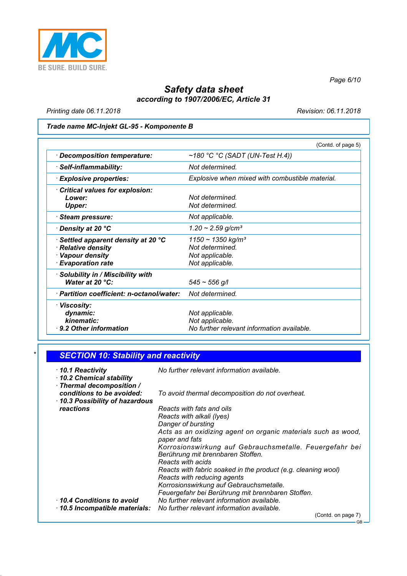

*Page 6/10*

### *Safety data sheet according to 1907/2006/EC, Article 31*

*Printing date 06.11.2018 Revision: 06.11.2018*

### *Trade name MC-Injekt GL-95 - Komponente B*

|                                                                                                        | (Contd. of page 5)                                                                          |
|--------------------------------------------------------------------------------------------------------|---------------------------------------------------------------------------------------------|
| <b>Decomposition temperature:</b>                                                                      | $~180$ °C °C (SADT (UN-Test H.4))                                                           |
| Self-inflammability:                                                                                   | Not determined.                                                                             |
| · Explosive properties:                                                                                | Explosive when mixed with combustible material.                                             |
| <b>Critical values for explosion:</b><br>Lower:<br><b>Upper:</b>                                       | Not determined.<br>Not determined.                                                          |
| <b>Steam pressure:</b>                                                                                 | Not applicable.                                                                             |
| Density at 20 °C                                                                                       | $1.20 \sim 2.59$ g/cm <sup>3</sup>                                                          |
| Settled apparent density at 20 °C<br>· Relative density<br>· Vapour density<br><b>Evaporation rate</b> | $1150 \sim 1350$ kg/m <sup>3</sup><br>Not determined.<br>Not applicable.<br>Not applicable. |
| <b>Solubility in / Miscibility with</b><br>Water at 20 $°C$ :                                          | $545 \sim 556$ g/l                                                                          |
| · Partition coefficient: n-octanol/water:                                                              | Not determined.                                                                             |
| · Viscosity:<br>dynamic:<br>kinematic:<br>⋅ 9.2 Other information                                      | Not applicable.<br>Not applicable.<br>No further relevant information available.            |

| <b>SECTION 10: Stability and reactivity</b>                              |                                                                                                                   |  |  |  |
|--------------------------------------------------------------------------|-------------------------------------------------------------------------------------------------------------------|--|--|--|
| ⋅10.1 Reactivity<br>10.2 Chemical stability<br>· Thermal decomposition / | No further relevant information available.                                                                        |  |  |  |
| conditions to be avoided:<br>10.3 Possibility of hazardous               | To avoid thermal decomposition do not overheat.                                                                   |  |  |  |
| reactions                                                                | Reacts with fats and oils<br>Reacts with alkali (lyes)<br>Danger of bursting                                      |  |  |  |
|                                                                          | Acts as an oxidizing agent on organic materials such as wood,<br>paper and fats                                   |  |  |  |
|                                                                          | Korrosionswirkung auf Gebrauchsmetalle. Feuergefahr bei<br>Berührung mit brennbaren Stoffen.<br>Reacts with acids |  |  |  |
|                                                                          | Reacts with fabric soaked in the product (e.g. cleaning wool)<br>Reacts with reducing agents                      |  |  |  |
|                                                                          | Korrosionswirkung auf Gebrauchsmetalle.<br>Feuergefahr bei Berührung mit brennbaren Stoffen.                      |  |  |  |
| 10.4 Conditions to avoid<br>$\cdot$ 10.5 Incompatible materials:         | No further relevant information available.<br>No further relevant information available.                          |  |  |  |
|                                                                          | (Contd. on page 7)                                                                                                |  |  |  |

GB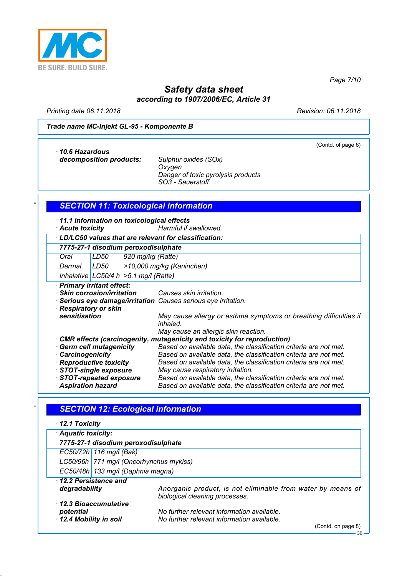

*Page 7/10*

## *Safety data sheet according to 1907/2006/EC, Article 31*

*Printing date 06.11.2018 Revision: 06.11.2018*

(Contd. of page 6)

#### *Trade name MC-Injekt GL-95 - Komponente B*

*· 10.6 Hazardous decomposition products: Sulphur oxides (SOx)*

*Oxygen Danger of toxic pyrolysis products SO3 - Sauerstoff*

| $\star$ |  |  |  |  |  |  | <b>SECTION 11: Toxicological information</b> |  |
|---------|--|--|--|--|--|--|----------------------------------------------|--|
|---------|--|--|--|--|--|--|----------------------------------------------|--|

*· 11.1 Information on toxicological effects*

*· Acute toxicity Harmful if swallowed. · LD/LC50 values that are relevant for classification:*

*7775-27-1 disodium peroxodisulphate*

| $\cdots$ $\cdots$ $\cdots$ $\cdots$ $\cdots$ $\cdots$ $\cdots$ $\cdots$ |                   |                              |
|-------------------------------------------------------------------------|-------------------|------------------------------|
| Oral                                                                    | LD <sub>50</sub>  | 920 mg/kg (Ratte)            |
| $Dmax-1$                                                                | IIDE <sub>0</sub> | $\sim$ 10.000 mallen (Kanine |

*Dermal LD50 >10,000 mg/kg (Kaninchen) Inhalative LC50/4 h >5.1 mg/l (Ratte)*

*· Primary irritant effect:*

*· Skin corrosion/irritation Causes skin irritation.*

*· Serious eye damage/irritation Causes serious eye irritation.*

*· Respiratory or skin*

May cause allergy or asthma symptoms or breathing difficulties if *inhaled.*

*May cause an allergic skin reaction.*

| CMR effects (carcinogenity, mutagenicity and toxicity for reproduction) |                                                                   |
|-------------------------------------------------------------------------|-------------------------------------------------------------------|
| Germ cell mutagenicity                                                  | Based on available data, the classification criteria are not met. |
| <b>Carcinogenicity</b>                                                  | Based on available data, the classification criteria are not met. |
| · Reproductive toxicity                                                 | Based on available data, the classification criteria are not met. |
| STOT-single exposure                                                    | May cause respiratory irritation.                                 |
| STOT-repeated exposure                                                  | Based on available data, the classification criteria are not met. |
| <b>Aspiration hazard</b>                                                | Based on available data, the classification criteria are not met. |

### *\* SECTION 12: Ecological information*

| $\cdot$ 12.1 Toxicity                                      |                                                                                                                |  |  |  |
|------------------------------------------------------------|----------------------------------------------------------------------------------------------------------------|--|--|--|
| · Aquatic toxicity:                                        |                                                                                                                |  |  |  |
|                                                            | 7775-27-1 disodium peroxodisulphate                                                                            |  |  |  |
| EC50/72h   116 mg/l (Bak)                                  |                                                                                                                |  |  |  |
|                                                            | LC50/96h 771 mg/l (Oncorhynchus mykiss)                                                                        |  |  |  |
|                                                            | EC50/48h   133 mg/l (Daphnia magna)                                                                            |  |  |  |
| 12.2 Persistence and<br>degradability                      | Anorganic product, is not eliminable from water by means of<br>biological cleaning processes.                  |  |  |  |
| 12.3 Bioaccumulative<br>potential<br>12.4 Mobility in soil | No further relevant information available.<br>No further relevant information available.<br>(Contd. on page 8) |  |  |  |

GB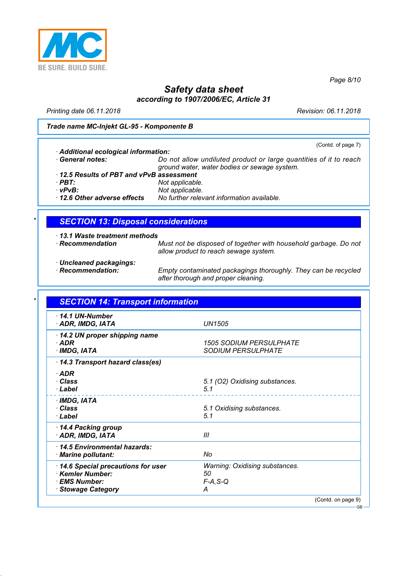

*Page 8/10*

## *Safety data sheet according to 1907/2006/EC, Article 31*

*Printing date 06.11.2018 Revision: 06.11.2018*

*Trade name MC-Injekt GL-95 - Komponente B*

| Additional ecological information:      | (Contd. of page 7)                                                |  |
|-----------------------------------------|-------------------------------------------------------------------|--|
| · General notes:                        | Do not allow undiluted product or large quantities of it to reach |  |
|                                         |                                                                   |  |
|                                         | ground water, water bodies or sewage system.                      |  |
| 12.5 Results of PBT and vPvB assessment |                                                                   |  |

*· PBT: Not applicable. · vPvB: Not applicable. · 12.6 Other adverse effects No further relevant information available.*

#### *\* SECTION 13: Disposal considerations*

- *· 13.1 Waste treatment methods*
- 

*· Recommendation Must not be disposed of together with household garbage. Do not allow product to reach sewage system.*

*· Uncleaned packagings:*

*Empty contaminated packagings thoroughly. They can be recycled after thorough and proper cleaning.*

| 14.1 UN-Number<br>· ADR, IMDG, IATA                                                             | <b>UN1505</b>                                                  |  |
|-------------------------------------------------------------------------------------------------|----------------------------------------------------------------|--|
| 14.2 UN proper shipping name<br>$·$ ADR<br>· IMDG, IATA                                         | <b>1505 SODIUM PERSULPHATE</b><br><b>SODIUM PERSULPHATE</b>    |  |
| 14.3 Transport hazard class(es)                                                                 |                                                                |  |
| $\cdot$ ADR<br>· Class<br>· Label                                                               | 5.1 (O2) Oxidising substances.<br>5.1                          |  |
| · IMDG, IATA<br>· Class<br>· Label                                                              | 5.1 Oxidising substances.<br>5.1                               |  |
| 14.4 Packing group<br>· ADR, IMDG, IATA                                                         | Ш                                                              |  |
| 14.5 Environmental hazards:<br>· Marine pollutant:                                              | No                                                             |  |
| 14.6 Special precautions for user<br>Kemler Number:<br>· EMS Number:<br><b>Stowage Category</b> | <b>Warning: Oxidising substances.</b><br>50<br>$F-A, S-Q$<br>А |  |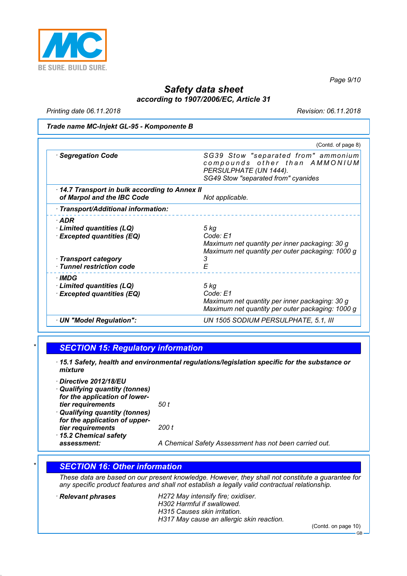

*Page 9/10*

### *Safety data sheet according to 1907/2006/EC, Article 31*

*Printing date 06.11.2018 Revision: 06.11.2018*

#### *Trade name MC-Injekt GL-95 - Komponente B*

|                                                                                                                              | (Contd. of page 8)                                                                                                                    |
|------------------------------------------------------------------------------------------------------------------------------|---------------------------------------------------------------------------------------------------------------------------------------|
| · Segregation Code                                                                                                           | SG39 Stow "separated from" ammonium<br>compounds other than AMMONIUM<br>PERSULPHATE (UN 1444).<br>SG49 Stow "separated from" cyanides |
| 14.7 Transport in bulk according to Annex II<br>of Marpol and the IBC Code                                                   | Not applicable.                                                                                                                       |
| · Transport/Additional information:                                                                                          |                                                                                                                                       |
| $\cdot$ ADR<br>Limited quantities (LQ)<br><b>Excepted quantities (EQ)</b><br>· Transport category<br>Tunnel restriction code | 5 kg<br>Code: E1<br>Maximum net quantity per inner packaging: 30 g<br>Maximum net quantity per outer packaging: 1000 g<br>3<br>F      |
| · IMDG<br>Limited quantities (LQ)<br><b>Excepted quantities (EQ)</b>                                                         | 5 kg<br>Code: E1<br>Maximum net quantity per inner packaging: 30 g<br>Maximum net quantity per outer packaging: 1000 g                |
| · UN "Model Regulation":                                                                                                     | UN 1505 SODIUM PERSULPHATE, 5.1, III                                                                                                  |

#### *\* SECTION 15: Regulatory information*

- *· 15.1 Safety, health and environmental regulations/legislation specific for the substance or mixture*
- *· Directive 2012/18/EU*
- *· Qualifying quantity (tonnes) for the application of lowertier requirements 50 t · Qualifying quantity (tonnes)*
- *for the application of uppertier requirements 200 t · 15.2 Chemical safety*

*assessment: A Chemical Safety Assessment has not been carried out.*

#### *\* SECTION 16: Other information*

*These data are based on our present knowledge. However, they shall not constitute a guarantee for any specific product features and shall not establish a legally valid contractual relationship.*

#### *· Relevant phrases H272 May intensify fire; oxidiser. H302 Harmful if swallowed. H315 Causes skin irritation.*

*H317 May cause an allergic skin reaction.*

(Contd. on page 10)

GB